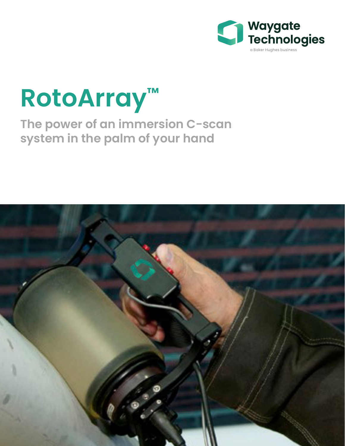

# **RotoArray™**

# **The power of an immersion C-scan system in the palm of your hand**

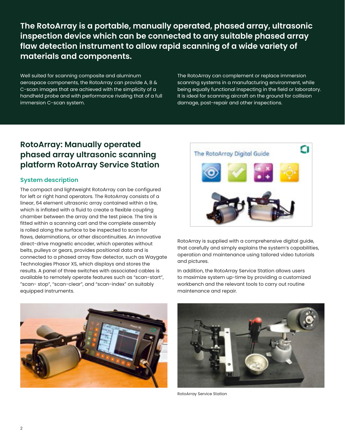**The RotoArray is a portable, manually operated, phased array, ultrasonic inspection device which can be connected to any suitable phased array flaw detection instrument to allow rapid scanning of a wide variety of materials and components.**

Well suited for scanning composite and aluminum aerospace components, the RotoArray can provide A, B & C-scan images that are achieved with the simplicity of a handheld probe and with performance rivaling that of a full immersion C-scan system.

The RotoArray can complement or replace immersion scanning systems in a manufacturing environment, while being equally functional inspecting in the field or laboratory. It is ideal for scanning aircraft on the ground for collision damage, post-repair and other inspections.

### **RotoArray: Manually operated phased array ultrasonic scanning platform RotoArray Service Station**

#### **System description**

The compact and lightweight RotoArray can be configured for left or right hand operators. The RotoArray consists of a linear, 64 element ultrasonic array contained within a tire, which is inflated with a fluid to create a flexible coupling chamber between the array and the test piece. The tire is fitted within a scanning cart and the complete assembly is rolled along the surface to be inspected to scan for flaws, delaminations, or other discontinuities. An innovative direct-drive magnetic encoder, which operates without belts, pulleys or gears, provides positional data and is connected to a phased array flaw detector, such as Waygate Technologies Phasor XS, which displays and stores the results. A panel of three switches with associated cables is available to remotely operate features such as "scan-start", "scan- stop", "scan-clear", and "scan-index" on suitably equipped instruments.



RotoArray is supplied with a comprehensive digital guide, that carefully and simply explains the system's capabilities, operation and maintenance using tailored video tutorials and pictures.

In addition, the RotoArray Service Station allows users to maximize system up-time by providing a customized workbench and the relevant tools to carry out routine maintenance and repair.





RotoArray Service Station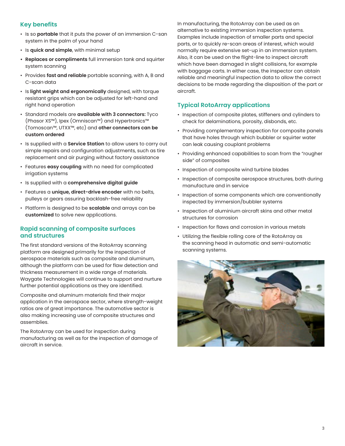#### **Key benefits**

- Is so **portable** that it puts the power of an immersion C-san system in the palm of your hand
- Is **quick and simple**, with minimal setup
- **• Replaces or compliments** full immersion tank and squirter system scanning
- Provides **fast and reliable** portable scanning, with A, B and C-scan data
- Is **light weight and ergonomically** designed, with torque resistant grips which can be adjusted for left-hand and right hand operation
- Standard models are **available with 3 connectors:** Tyco (Phasor XS™), Ipex (Omniscan™) and Hypertronics™ (Tomoscan™, UTXX™, etc) and **other connectors can be custom ordered**
- Is supplied with a **Service Station** to allow users to carry out simple repairs and configuration adjustments, such as tire replacement and air purging without factory assistance
- Features **easy coupling** with no need for complicated irrigation systems
- Is supplied with a **comprehensive digital guide**
- Features a **unique, direct-drive encoder** with no belts, pulleys or gears assuring backlash-free reliability
- Platform is designed to be **scalable** and arrays can be **customized** to solve new applications.

#### **Rapid scanning of composite surfaces and structures**

The first standard versions of the RotoArray scanning platform are designed primarily for the inspection of aerospace materials such as composite and aluminum, although the platform can be used for flaw detection and thickness measurement in a wide range of materials. Waygate Technologies will continue to support and nurture further potential applications as they are identified.

Composite and aluminum materials find their major application in the aerospace sector, where strength-weight ratios are of great importance. The automotive sector is also making increasing use of composite structures and assemblies.

The RotoArray can be used for inspection during manufacturing as well as for the inspection of damage of aircraft in service.

In manufacturing, the RotoArray can be used as an alternative to existing immersion inspection systems. Examples include inspection of smaller parts and special parts, or to quickly re-scan areas of interest, which would normally require extensive set-up in an immersion system. Also, it can be used on the flight-line to inspect aircraft which have been damaged in slight collisions, for example with baggage carts. In either case, the inspector can obtain reliable and meaningful inspection data to allow the correct decisions to be made regarding the disposition of the part or aircraft.

#### **Typical RotoArray applications**

- Inspection of composite plates, stiffeners and cylinders to check for delaminations, porosity, disbonds, etc.
- Providing complementary inspection for composite panels that have holes through which bubbler or squirter water can leak causing couplant problems
- Providing enhanced capabilities to scan from the "rougher side" of composites
- Inspection of composite wind turbine blades
- Inspection of composite aerospace structures, both during manufacture and in service
- Inspection of some components which are conventionally inspected by immersion/bubbler systems
- Inspection of aluminium aircraft skins and other metal structures for corrosion
- Inspection for flaws and corrosion in various metals
- Utilizing the flexible rolling core of the RotoArray as the scanning head in automatic and semi-automatic scanning systems.